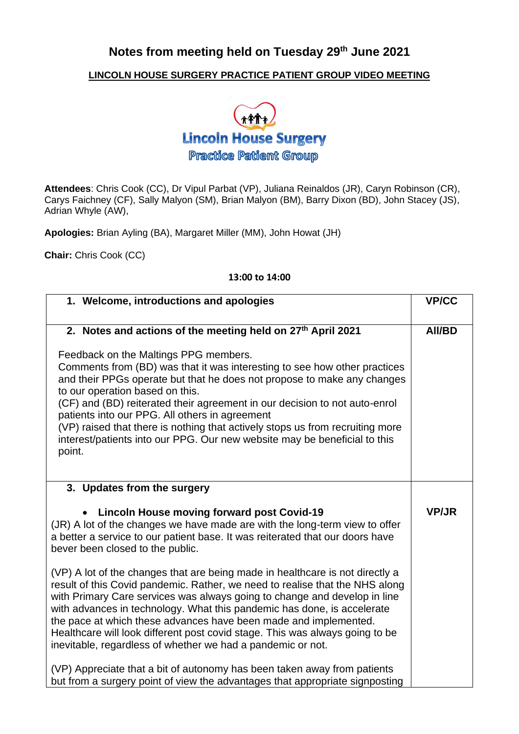## **Notes from meeting held on Tuesday 29th June 2021**

## **LINCOLN HOUSE SURGERY PRACTICE PATIENT GROUP VIDEO MEETING**



**Attendees**: Chris Cook (CC), Dr Vipul Parbat (VP), Juliana Reinaldos (JR), Caryn Robinson (CR), Carys Faichney (CF), Sally Malyon (SM), Brian Malyon (BM), Barry Dixon (BD), John Stacey (JS), Adrian Whyle (AW),

**Apologies:** Brian Ayling (BA), Margaret Miller (MM), John Howat (JH)

**Chair:** Chris Cook (CC)

## **13:00 to 14:00**

| 1. Welcome, introductions and apologies                                                                                                                                                                                                                                                                                                                                                                                                                                                                                                  | <b>VP/CC</b>  |
|------------------------------------------------------------------------------------------------------------------------------------------------------------------------------------------------------------------------------------------------------------------------------------------------------------------------------------------------------------------------------------------------------------------------------------------------------------------------------------------------------------------------------------------|---------------|
| 2. Notes and actions of the meeting held on 27th April 2021                                                                                                                                                                                                                                                                                                                                                                                                                                                                              | <b>AII/BD</b> |
| Feedback on the Maltings PPG members.<br>Comments from (BD) was that it was interesting to see how other practices<br>and their PPGs operate but that he does not propose to make any changes<br>to our operation based on this.<br>(CF) and (BD) reiterated their agreement in our decision to not auto-enrol<br>patients into our PPG. All others in agreement<br>(VP) raised that there is nothing that actively stops us from recruiting more<br>interest/patients into our PPG. Our new website may be beneficial to this<br>point. |               |
| 3. Updates from the surgery                                                                                                                                                                                                                                                                                                                                                                                                                                                                                                              |               |
| <b>Lincoln House moving forward post Covid-19</b><br>(JR) A lot of the changes we have made are with the long-term view to offer<br>a better a service to our patient base. It was reiterated that our doors have<br>bever been closed to the public.                                                                                                                                                                                                                                                                                    | <b>VP/JR</b>  |
| (VP) A lot of the changes that are being made in healthcare is not directly a<br>result of this Covid pandemic. Rather, we need to realise that the NHS along<br>with Primary Care services was always going to change and develop in line<br>with advances in technology. What this pandemic has done, is accelerate<br>the pace at which these advances have been made and implemented.<br>Healthcare will look different post covid stage. This was always going to be<br>inevitable, regardless of whether we had a pandemic or not. |               |
| (VP) Appreciate that a bit of autonomy has been taken away from patients<br>but from a surgery point of view the advantages that appropriate signposting                                                                                                                                                                                                                                                                                                                                                                                 |               |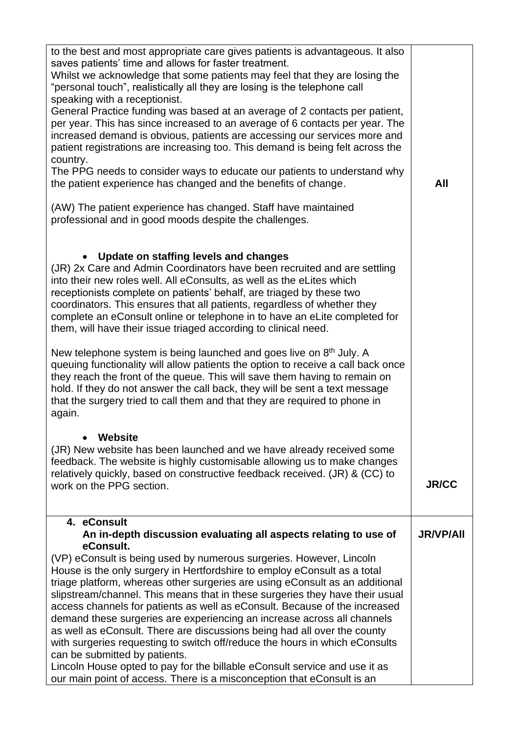| to the best and most appropriate care gives patients is advantageous. It also<br>saves patients' time and allows for faster treatment.<br>Whilst we acknowledge that some patients may feel that they are losing the<br>"personal touch", realistically all they are losing is the telephone call<br>speaking with a receptionist.<br>General Practice funding was based at an average of 2 contacts per patient,<br>per year. This has since increased to an average of 6 contacts per year. The<br>increased demand is obvious, patients are accessing our services more and<br>patient registrations are increasing too. This demand is being felt across the<br>country.<br>The PPG needs to consider ways to educate our patients to understand why<br>the patient experience has changed and the benefits of change.<br>(AW) The patient experience has changed. Staff have maintained<br>professional and in good moods despite the challenges. | All              |
|--------------------------------------------------------------------------------------------------------------------------------------------------------------------------------------------------------------------------------------------------------------------------------------------------------------------------------------------------------------------------------------------------------------------------------------------------------------------------------------------------------------------------------------------------------------------------------------------------------------------------------------------------------------------------------------------------------------------------------------------------------------------------------------------------------------------------------------------------------------------------------------------------------------------------------------------------------|------------------|
| Update on staffing levels and changes<br>(JR) 2x Care and Admin Coordinators have been recruited and are settling<br>into their new roles well. All eConsults, as well as the eLites which<br>receptionists complete on patients' behalf, are triaged by these two<br>coordinators. This ensures that all patients, regardless of whether they<br>complete an eConsult online or telephone in to have an eLite completed for<br>them, will have their issue triaged according to clinical need.                                                                                                                                                                                                                                                                                                                                                                                                                                                        |                  |
| New telephone system is being launched and goes live on $8th$ July. A<br>queuing functionality will allow patients the option to receive a call back once<br>they reach the front of the queue. This will save them having to remain on<br>hold. If they do not answer the call back, they will be sent a text message<br>that the surgery tried to call them and that they are required to phone in<br>again.                                                                                                                                                                                                                                                                                                                                                                                                                                                                                                                                         |                  |
| Website<br>(JR) New website has been launched and we have already received some<br>feedback. The website is highly customisable allowing us to make changes<br>relatively quickly, based on constructive feedback received. (JR) & (CC) to<br>work on the PPG section.                                                                                                                                                                                                                                                                                                                                                                                                                                                                                                                                                                                                                                                                                 | <b>JR/CC</b>     |
| 4. eConsult<br>An in-depth discussion evaluating all aspects relating to use of                                                                                                                                                                                                                                                                                                                                                                                                                                                                                                                                                                                                                                                                                                                                                                                                                                                                        | <b>JR/VP/AII</b> |
| eConsult.<br>(VP) eConsult is being used by numerous surgeries. However, Lincoln<br>House is the only surgery in Hertfordshire to employ eConsult as a total<br>triage platform, whereas other surgeries are using eConsult as an additional<br>slipstream/channel. This means that in these surgeries they have their usual<br>access channels for patients as well as eConsult. Because of the increased<br>demand these surgeries are experiencing an increase across all channels<br>as well as eConsult. There are discussions being had all over the county<br>with surgeries requesting to switch off/reduce the hours in which eConsults<br>can be submitted by patients.<br>Lincoln House opted to pay for the billable eConsult service and use it as<br>our main point of access. There is a misconception that eConsult is an                                                                                                              |                  |